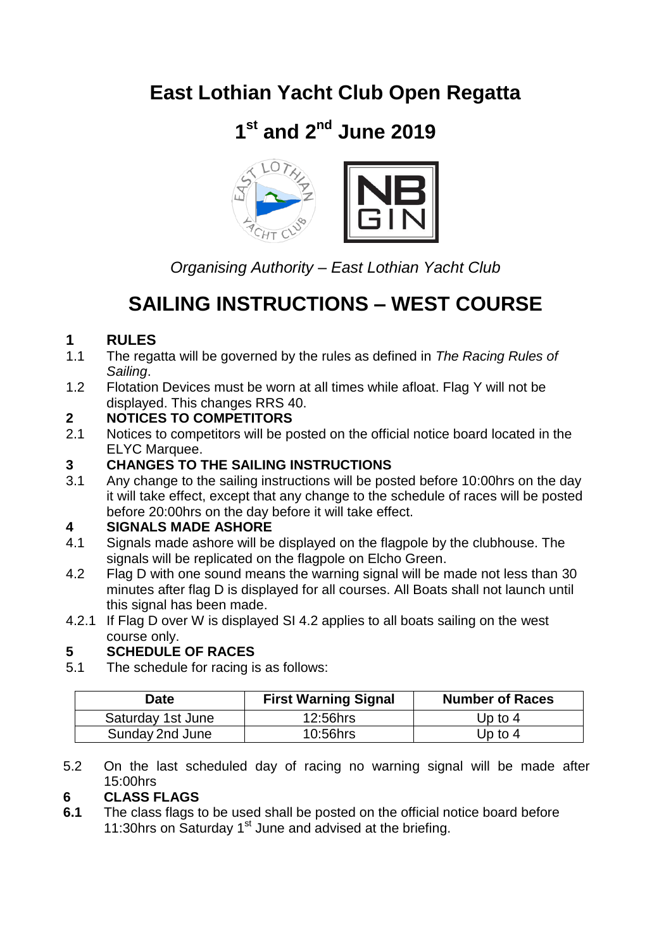# **East Lothian Yacht Club Open Regatta**

# **1 st and 2nd June 2019**



*Organising Authority – East Lothian Yacht Club*

# **SAILING INSTRUCTIONS – WEST COURSE**

## **1 RULES**

- 1.1 The regatta will be governed by the rules as defined in *The Racing Rules of Sailing*.
- 1.2 Flotation Devices must be worn at all times while afloat. Flag Y will not be displayed. This changes RRS 40.

## **2 NOTICES TO COMPETITORS**

2.1 Notices to competitors will be posted on the official notice board located in the ELYC Marquee.

# **3 CHANGES TO THE SAILING INSTRUCTIONS**<br>**3.1** Any change to the sailing instructions will be pos

Any change to the sailing instructions will be posted before 10:00hrs on the day it will take effect, except that any change to the schedule of races will be posted before 20:00hrs on the day before it will take effect.

## **4 SIGNALS MADE ASHORE**

- 4.1 Signals made ashore will be displayed on the flagpole by the clubhouse. The signals will be replicated on the flagpole on Elcho Green.
- 4.2 Flag D with one sound means the warning signal will be made not less than 30 minutes after flag D is displayed for all courses. All Boats shall not launch until this signal has been made.
- 4.2.1 If Flag D over W is displayed SI 4.2 applies to all boats sailing on the west course only.

## **5 SCHEDULE OF RACES**

5.1 The schedule for racing is as follows:

| Date              | <b>First Warning Signal</b> | <b>Number of Races</b> |
|-------------------|-----------------------------|------------------------|
| Saturday 1st June | 12:56hrs                    | Up to $4$              |
| Sunday 2nd June   | 10:56hrs                    | Up to 4                |

5.2 On the last scheduled day of racing no warning signal will be made after 15:00hrs

## **6 CLASS FLAGS**

**6.1** The class flags to be used shall be posted on the official notice board before 11:30hrs on Saturday  $1<sup>st</sup>$  June and advised at the briefing.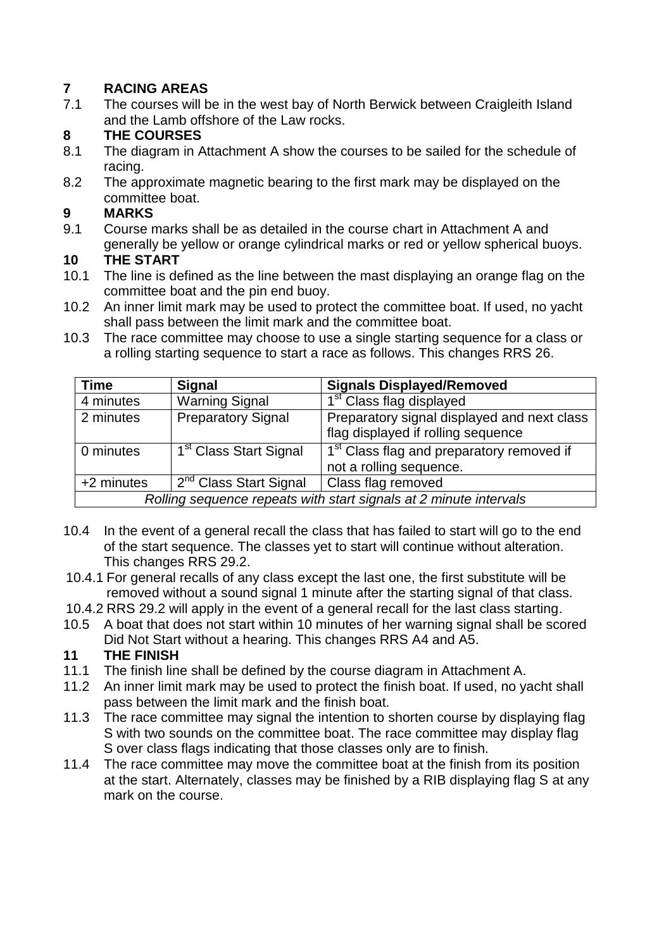# **7 RACING AREAS**

The courses will be in the west bay of North Berwick between Craigleith Island and the Lamb offshore of the Law rocks.

# **8 THE COURSES**

- The diagram in Attachment A show the courses to be sailed for the schedule of racing.
- 8.2 The approximate magnetic bearing to the first mark may be displayed on the committee boat.

# **9 MARKS**

9.1 Course marks shall be as detailed in the course chart in Attachment A and generally be yellow or orange cylindrical marks or red or yellow spherical buoys.

#### **10 THE START**

- 10.1 The line is defined as the line between the mast displaying an orange flag on the committee boat and the pin end buoy.
- 10.2 An inner limit mark may be used to protect the committee boat. If used, no yacht shall pass between the limit mark and the committee boat.
- 10.3 The race committee may choose to use a single starting sequence for a class or a rolling starting sequence to start a race as follows. This changes RRS 26.

| <b>Time</b>                                                       | <b>Signal</b>                      | <b>Signals Displayed/Removed</b>                                                  |
|-------------------------------------------------------------------|------------------------------------|-----------------------------------------------------------------------------------|
| 4 minutes                                                         | <b>Warning Signal</b>              | 1 <sup>st</sup> Class flag displayed                                              |
| 2 minutes                                                         | <b>Preparatory Signal</b>          | Preparatory signal displayed and next class<br>flag displayed if rolling sequence |
| 0 minutes                                                         | 1 <sup>st</sup> Class Start Signal | 1 <sup>st</sup> Class flag and preparatory removed if<br>not a rolling sequence.  |
| +2 minutes                                                        | 2 <sup>nd</sup> Class Start Signal | Class flag removed                                                                |
| Rolling sequence repeats with start signals at 2 minute intervals |                                    |                                                                                   |

- 10.4 In the event of a general recall the class that has failed to start will go to the end of the start sequence. The classes yet to start will continue without alteration. This changes RRS 29.2.
- 10.4.1 For general recalls of any class except the last one, the first substitute will be removed without a sound signal 1 minute after the starting signal of that class.
- 10.4.2 RRS 29.2 will apply in the event of a general recall for the last class starting.
- 10.5 A boat that does not start within 10 minutes of her warning signal shall be scored Did Not Start without a hearing. This changes RRS A4 and A5.

## **11 THE FINISH**

- 11.1 The finish line shall be defined by the course diagram in Attachment A.
- 11.2 An inner limit mark may be used to protect the finish boat. If used, no yacht shall pass between the limit mark and the finish boat.
- 11.3 The race committee may signal the intention to shorten course by displaying flag S with two sounds on the committee boat. The race committee may display flag S over class flags indicating that those classes only are to finish.
- 11.4 The race committee may move the committee boat at the finish from its position at the start. Alternately, classes may be finished by a RIB displaying flag S at any mark on the course.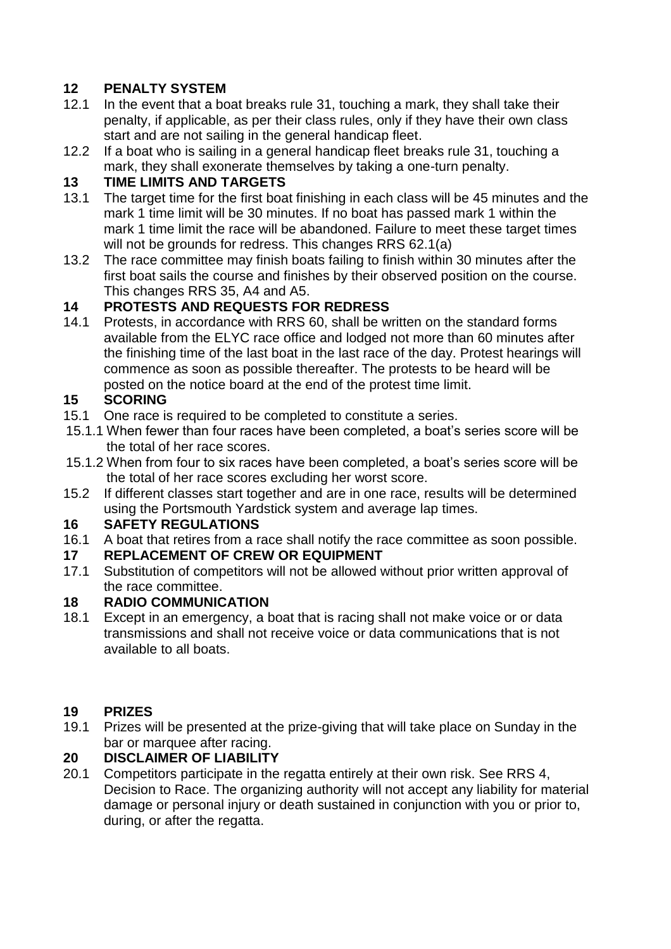## **12 PENALTY SYSTEM**

- 12.1 In the event that a boat breaks rule 31, touching a mark, they shall take their penalty, if applicable, as per their class rules, only if they have their own class start and are not sailing in the general handicap fleet.
- 12.2 If a boat who is sailing in a general handicap fleet breaks rule 31, touching a mark, they shall exonerate themselves by taking a one-turn penalty.

#### **13 TIME LIMITS AND TARGETS**

- 13.1 The target time for the first boat finishing in each class will be 45 minutes and the mark 1 time limit will be 30 minutes. If no boat has passed mark 1 within the mark 1 time limit the race will be abandoned. Failure to meet these target times will not be grounds for redress. This changes RRS 62.1(a)
- 13.2 The race committee may finish boats failing to finish within 30 minutes after the first boat sails the course and finishes by their observed position on the course. This changes RRS 35, A4 and A5.

## **14 PROTESTS AND REQUESTS FOR REDRESS**

14.1 Protests, in accordance with RRS 60, shall be written on the standard forms available from the ELYC race office and lodged not more than 60 minutes after the finishing time of the last boat in the last race of the day. Protest hearings will commence as soon as possible thereafter. The protests to be heard will be posted on the notice board at the end of the protest time limit.

#### **15 SCORING**

- 15.1 One race is required to be completed to constitute a series.
- 15.1.1 When fewer than four races have been completed, a boat's series score will be the total of her race scores.
- 15.1.2 When from four to six races have been completed, a boat's series score will be the total of her race scores excluding her worst score.
- 15.2 If different classes start together and are in one race, results will be determined using the Portsmouth Yardstick system and average lap times.

#### **16 SAFETY REGULATIONS**

16.1 A boat that retires from a race shall notify the race committee as soon possible.

#### **17 REPLACEMENT OF CREW OR EQUIPMENT**

17.1 Substitution of competitors will not be allowed without prior written approval of the race committee.

#### **18 RADIO COMMUNICATION**

18.1 Except in an emergency, a boat that is racing shall not make voice or or data transmissions and shall not receive voice or data communications that is not available to all boats.

#### **19 PRIZES**

19.1 Prizes will be presented at the prize-giving that will take place on Sunday in the bar or marquee after racing.

## **20 DISCLAIMER OF LIABILITY**

20.1 Competitors participate in the regatta entirely at their own risk. See RRS 4, Decision to Race. The organizing authority will not accept any liability for material damage or personal injury or death sustained in conjunction with you or prior to, during, or after the regatta.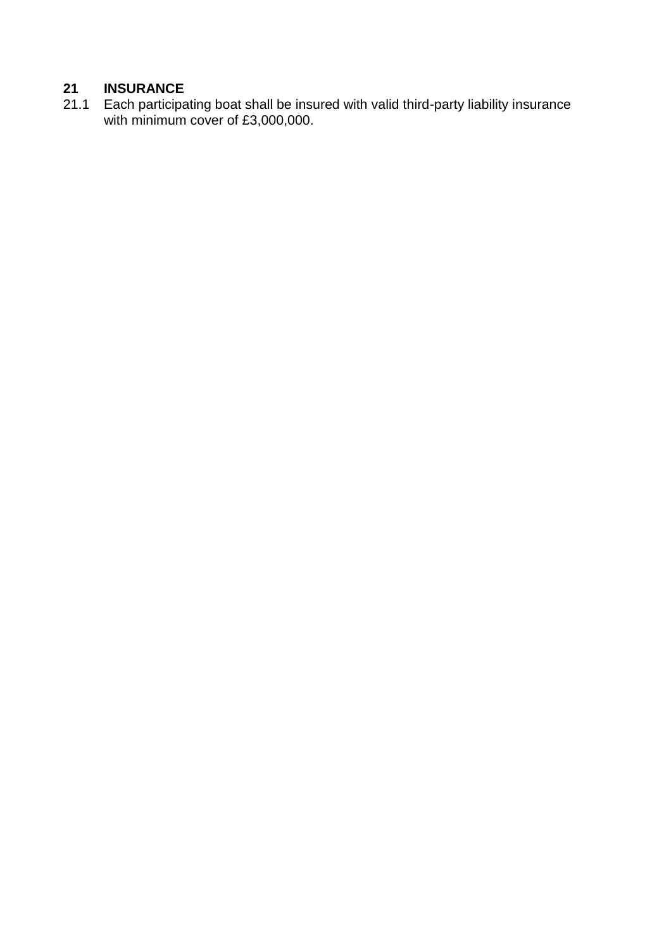# **21 INSURANCE**

21.1 Each participating boat shall be insured with valid third-party liability insurance with minimum cover of £3,000,000.